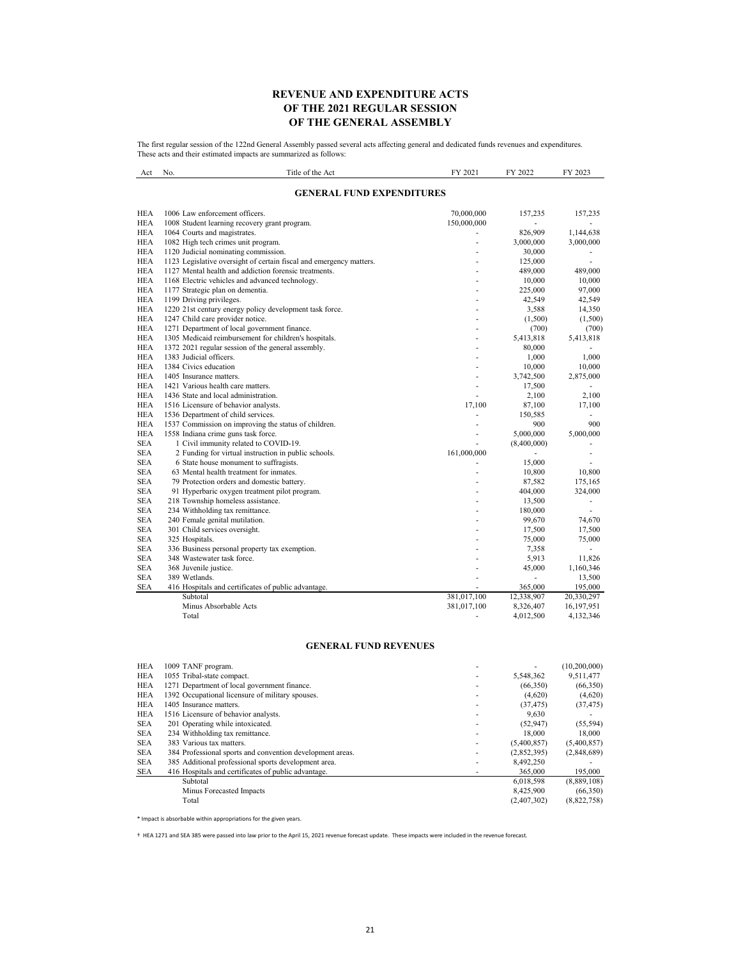## **REVENUE AND EXPENDITURE ACTS OF THE 2021 REGULAR SESSION OF THE GENERAL ASSEMBLY**

The first regular session of the 122nd General Assembly passed several acts affecting general and dedicated funds revenues and expenditures. These acts and their estimated impacts are summarized as follows:

| Act                      | No.                              | Title of the Act                                                                                      | FY 2021     | FY 2022         | FY 2023       |  |
|--------------------------|----------------------------------|-------------------------------------------------------------------------------------------------------|-------------|-----------------|---------------|--|
|                          | <b>GENERAL FUND EXPENDITURES</b> |                                                                                                       |             |                 |               |  |
| <b>HEA</b>               |                                  | 1006 Law enforcement officers.                                                                        | 70,000,000  | 157,235         | 157,235       |  |
| <b>HEA</b>               |                                  | 1008 Student learning recovery grant program.                                                         | 150,000,000 |                 |               |  |
| <b>HEA</b>               |                                  | 1064 Courts and magistrates.                                                                          |             | 826,909         | 1,144,638     |  |
| <b>HEA</b>               |                                  | 1082 High tech crimes unit program.                                                                   |             | 3,000,000       | 3,000,000     |  |
| <b>HEA</b>               |                                  | 1120 Judicial nominating commission.                                                                  |             | 30,000          | ٠             |  |
| <b>HEA</b>               |                                  | 1123 Legislative oversight of certain fiscal and emergency matters.                                   |             | 125,000         | ÷             |  |
| <b>HEA</b>               |                                  | 1127 Mental health and addiction forensic treatments.                                                 |             | 489,000         | 489,000       |  |
| <b>HEA</b>               |                                  | 1168 Electric vehicles and advanced technology.                                                       |             | 10,000          | 10,000        |  |
| <b>HEA</b>               |                                  | 1177 Strategic plan on dementia.                                                                      |             | 225,000         | 97,000        |  |
| <b>HEA</b>               |                                  | 1199 Driving privileges.                                                                              |             | 42,549          | 42,549        |  |
| <b>HEA</b>               |                                  | 1220 21st century energy policy development task force.                                               |             | 3,588           | 14,350        |  |
| <b>HEA</b><br><b>HEA</b> |                                  | 1247 Child care provider notice.                                                                      |             | (1,500)         | (1,500)       |  |
| <b>HEA</b>               |                                  | 1271 Department of local government finance.<br>1305 Medicaid reimbursement for children's hospitals. |             | (700)           | (700)         |  |
| <b>HEA</b>               |                                  | 1372 2021 regular session of the general assembly.                                                    |             | 5,413,818       | 5,413,818     |  |
| <b>HEA</b>               |                                  | 1383 Judicial officers.                                                                               | ٠           | 80,000<br>1,000 | 1,000         |  |
| <b>HEA</b>               |                                  | 1384 Civics education                                                                                 |             | 10,000          | 10,000        |  |
| <b>HEA</b>               |                                  | 1405 Insurance matters.                                                                               | ä,          | 3,742,500       | 2,875,000     |  |
| <b>HEA</b>               |                                  | 1421 Various health care matters.                                                                     | Ĭ.          | 17,500          |               |  |
| <b>HEA</b>               |                                  | 1436 State and local administration.                                                                  |             | 2,100           | 2,100         |  |
| <b>HEA</b>               |                                  | 1516 Licensure of behavior analysts.                                                                  | 17,100      | 87,100          | 17,100        |  |
| <b>HEA</b>               |                                  | 1536 Department of child services.                                                                    |             | 150,585         | ٠             |  |
| <b>HEA</b>               |                                  | 1537 Commission on improving the status of children.                                                  |             | 900             | 900           |  |
| <b>HEA</b>               |                                  | 1558 Indiana crime guns task force.                                                                   | ä,          | 5,000,000       | 5,000,000     |  |
| <b>SEA</b>               |                                  | 1 Civil immunity related to COVID-19.                                                                 |             | (8,400,000)     |               |  |
| <b>SEA</b>               |                                  | 2 Funding for virtual instruction in public schools.                                                  | 161,000,000 |                 | ä,            |  |
| <b>SEA</b>               |                                  | 6 State house monument to suffragists.                                                                |             | 15,000          |               |  |
| <b>SEA</b>               |                                  | 63 Mental health treatment for inmates.                                                               |             | 10,800          | 10,800        |  |
| <b>SEA</b>               |                                  | 79 Protection orders and domestic battery.                                                            |             | 87,582          | 175,165       |  |
| <b>SEA</b>               |                                  | 91 Hyperbaric oxygen treatment pilot program.                                                         |             | 404,000         | 324,000       |  |
| <b>SEA</b>               |                                  | 218 Township homeless assistance.                                                                     |             | 13,500          | $\frac{1}{2}$ |  |
| <b>SEA</b>               |                                  | 234 Withholding tax remittance.                                                                       |             | 180,000         | L.            |  |
| <b>SEA</b>               |                                  | 240 Female genital mutilation.                                                                        |             | 99,670          | 74,670        |  |
| <b>SEA</b>               |                                  | 301 Child services oversight.                                                                         |             | 17,500          | 17,500        |  |
| <b>SEA</b>               |                                  | 325 Hospitals.                                                                                        |             | 75,000          | 75,000        |  |
| <b>SEA</b>               |                                  | 336 Business personal property tax exemption.                                                         |             | 7,358           |               |  |
| <b>SEA</b>               |                                  | 348 Wastewater task force.                                                                            |             | 5,913           | 11,826        |  |
| <b>SEA</b>               |                                  | 368 Juvenile justice.                                                                                 |             | 45,000          | 1,160,346     |  |
| <b>SEA</b>               |                                  | 389 Wetlands.                                                                                         |             | ä,              | 13,500        |  |
| <b>SEA</b>               |                                  | 416 Hospitals and certificates of public advantage.                                                   |             | 365,000         | 195,000       |  |
|                          |                                  | Subtotal                                                                                              | 381,017,100 | 12,338,907      | 20,330,297    |  |
|                          |                                  | Minus Absorbable Acts                                                                                 | 381,017,100 | 8,326,407       | 16,197,951    |  |
|                          |                                  | Total                                                                                                 |             | 4,012,500       | 4,132,346     |  |

## **GENERAL FUND REVENUES**

| <b>HEA</b> | 1009 TANF program.                                        |             | (10,200,000) |
|------------|-----------------------------------------------------------|-------------|--------------|
| <b>HEA</b> | 1055 Tribal-state compact.                                | 5,548,362   | 9,511,477    |
| <b>HEA</b> | 1271 Department of local government finance.              | (66,350)    | (66,350)     |
| <b>HEA</b> | 1392 Occupational licensure of military spouses.          | (4,620)     | (4,620)      |
| <b>HEA</b> | 1405 Insurance matters.                                   | (37, 475)   | (37, 475)    |
| <b>HEA</b> | 1516 Licensure of behavior analysts.                      | 9.630       |              |
| <b>SEA</b> | 201 Operating while intoxicated.                          | (52, 947)   | (55, 594)    |
| <b>SEA</b> | 234 Withholding tax remittance.                           | 18,000      | 18,000       |
| <b>SEA</b> | 383 Various tax matters.                                  | (5,400,857) | (5,400,857)  |
| <b>SEA</b> | 384 Professional sports and convention development areas. | (2,852,395) | (2,848,689)  |
| <b>SEA</b> | 385 Additional professional sports development area.      | 8,492,250   |              |
| SEA        | 416 Hospitals and certificates of public advantage.       | 365,000     | 195,000      |
|            | Subtotal                                                  | 6.018.598   | (8,889,108)  |
|            | Minus Forecasted Impacts                                  | 8,425,900   | (66,350)     |
|            | Total                                                     | (2,407,302) | (8,822,758)  |

\* Impact is absorbable within appropriations for the given years.

† HEA 1271 and SEA 385 were passed into law prior to the April 15, 2021 revenue forecast update. These impacts were included in the revenue forecast.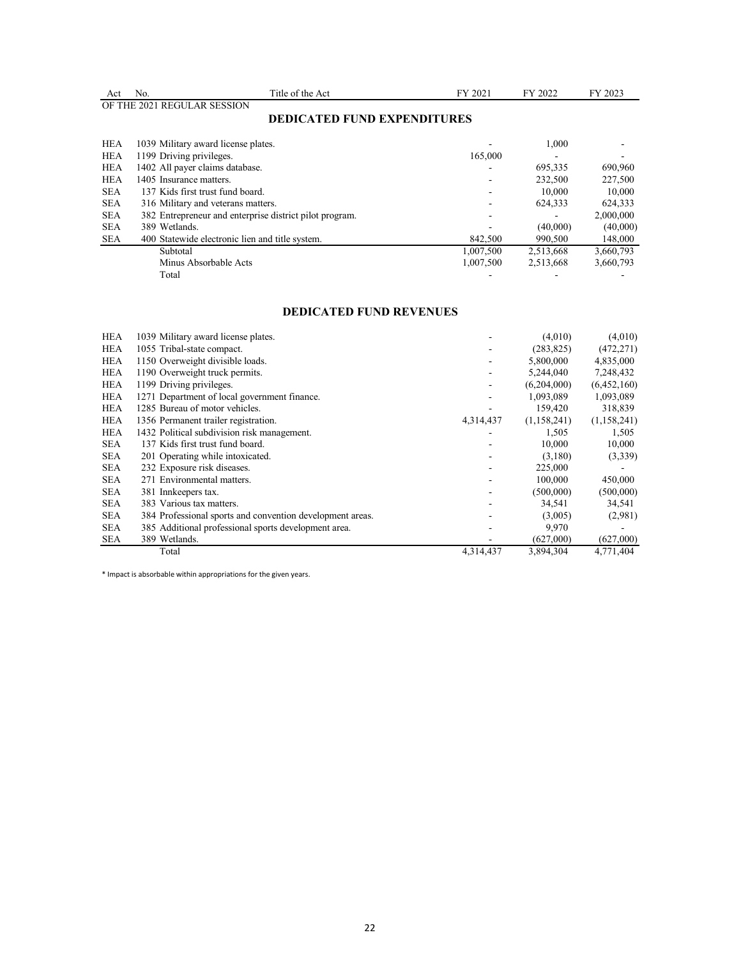| Act        | No.                                                     | Title of the Act                   | FY 2021   | FY 2022   | FY 2023   |
|------------|---------------------------------------------------------|------------------------------------|-----------|-----------|-----------|
|            | OF THE 2021 REGULAR SESSION                             |                                    |           |           |           |
|            |                                                         | <b>DEDICATED FUND EXPENDITURES</b> |           |           |           |
|            |                                                         |                                    |           |           |           |
| <b>HEA</b> | 1039 Military award license plates.                     |                                    |           | 1.000     |           |
| HEA        | 1199 Driving privileges.                                |                                    | 165,000   |           |           |
| <b>HEA</b> | 1402 All payer claims database.                         |                                    |           | 695,335   | 690,960   |
| <b>HEA</b> | 1405 Insurance matters.                                 |                                    |           | 232,500   | 227,500   |
| <b>SEA</b> | 137 Kids first trust fund board.                        |                                    |           | 10,000    | 10,000    |
| <b>SEA</b> | 316 Military and veterans matters.                      |                                    |           | 624,333   | 624,333   |
| <b>SEA</b> | 382 Entrepreneur and enterprise district pilot program. |                                    |           |           | 2,000,000 |
| <b>SEA</b> | 389 Wetlands.                                           |                                    |           | (40,000)  | (40,000)  |
| <b>SEA</b> | 400 Statewide electronic lien and title system.         |                                    | 842,500   | 990,500   | 148,000   |
|            | Subtotal                                                |                                    | 1,007,500 | 2,513,668 | 3,660,793 |
|            | Minus Absorbable Acts                                   |                                    | 1,007,500 | 2,513,668 | 3,660,793 |
|            | Total                                                   |                                    |           |           |           |

## **DEDICATED FUND REVENUES**

| <b>HEA</b> | 1039 Military award license plates.                       |           | (4,010)     | (4,010)     |
|------------|-----------------------------------------------------------|-----------|-------------|-------------|
| <b>HEA</b> | 1055 Tribal-state compact.                                |           | (283, 825)  | (472, 271)  |
| <b>HEA</b> | 1150 Overweight divisible loads.                          |           | 5,800,000   | 4,835,000   |
| <b>HEA</b> | 1190 Overweight truck permits.                            |           | 5,244,040   | 7,248,432   |
| <b>HEA</b> | 1199 Driving privileges.                                  |           | (6,204,000) | (6,452,160) |
| <b>HEA</b> | 1271 Department of local government finance.              |           | 1,093,089   | 1,093,089   |
| <b>HEA</b> | 1285 Bureau of motor vehicles.                            |           | 159,420     | 318,839     |
| <b>HEA</b> | 1356 Permanent trailer registration.                      | 4,314,437 | (1,158,241) | (1,158,241) |
| <b>HEA</b> | 1432 Political subdivision risk management.               |           | 1,505       | 1,505       |
| <b>SEA</b> | 137 Kids first trust fund board.                          |           | 10,000      | 10,000      |
| <b>SEA</b> | 201 Operating while intoxicated.                          |           | (3,180)     | (3,339)     |
| <b>SEA</b> | 232 Exposure risk diseases.                               |           | 225,000     |             |
| <b>SEA</b> | 271 Environmental matters.                                |           | 100,000     | 450,000     |
| <b>SEA</b> | 381 Innkeepers tax.                                       |           | (500,000)   | (500,000)   |
| <b>SEA</b> | 383 Various tax matters.                                  |           | 34,541      | 34,541      |
| <b>SEA</b> | 384 Professional sports and convention development areas. |           | (3,005)     | (2,981)     |
| <b>SEA</b> | 385 Additional professional sports development area.      |           | 9,970       |             |
| <b>SEA</b> | 389 Wetlands.                                             |           | (627,000)   | (627,000)   |
|            | Total                                                     | 4.314.437 | 3,894,304   | 4,771,404   |
|            |                                                           |           |             |             |

\* Impact is absorbable within appropriations for the given years.